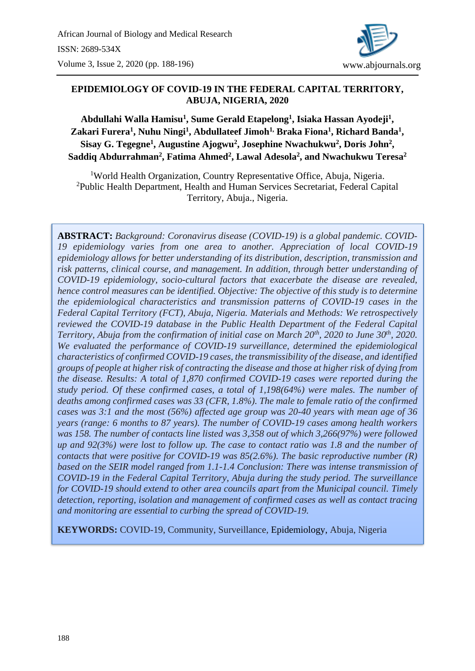

## **EPIDEMIOLOGY OF COVID-19 IN THE FEDERAL CAPITAL TERRITORY, ABUJA, NIGERIA, 2020**

**Abdullahi Walla Hamisu<sup>1</sup> , Sume Gerald Etapelong<sup>1</sup> , Isiaka Hassan Ayodeji<sup>1</sup> , Zakari Furera<sup>1</sup> , Nuhu Ningi<sup>1</sup> , Abdullateef Jimoh1, Braka Fiona<sup>1</sup> , Richard Banda<sup>1</sup> , Sisay G. Tegegne<sup>1</sup> , Augustine Ajogwu<sup>2</sup> , Josephine Nwachukwu<sup>2</sup> , Doris John<sup>2</sup> , Saddiq Abdurrahman<sup>2</sup> , Fatima Ahmed<sup>2</sup> , Lawal Adesola<sup>2</sup> , and Nwachukwu Teresa<sup>2</sup>**

<sup>1</sup>World Health Organization, Country Representative Office, Abuja, Nigeria. <sup>2</sup>Public Health Department, Health and Human Services Secretariat, Federal Capital Territory, Abuja., Nigeria.

**ABSTRACT:** *Background: Coronavirus disease (COVID-19) is a global pandemic. COVID-19 epidemiology varies from one area to another. Appreciation of local COVID-19 epidemiology allows for better understanding of its distribution, description, transmission and risk patterns, clinical course, and management. In addition, through better understanding of COVID-19 epidemiology, socio-cultural factors that exacerbate the disease are revealed, hence control measures can be identified. Objective: The objective of this study is to determine the epidemiological characteristics and transmission patterns of COVID-19 cases in the Federal Capital Territory (FCT), Abuja, Nigeria. Materials and Methods: We retrospectively reviewed the COVID-19 database in the Public Health Department of the Federal Capital Territory, Abuja from the confirmation of initial case on March 20th, 2020 to June 30th, 2020. We evaluated the performance of COVID-19 surveillance, determined the epidemiological characteristics of confirmed COVID-19 cases, the transmissibility of the disease, and identified groups of people at higher risk of contracting the disease and those at higher risk of dying from the disease. Results: A total of 1,870 confirmed COVID-19 cases were reported during the study period. Of these confirmed cases, a total of 1,198(64%) were males. The number of deaths among confirmed cases was 33 (CFR, 1.8%). The male to female ratio of the confirmed cases was 3:1 and the most (56%) affected age group was 20-40 years with mean age of 36 years (range: 6 months to 87 years). The number of COVID-19 cases among health workers was 158. The number of contacts line listed was 3,358 out of which 3,266(97%) were followed up and 92(3%) were lost to follow up. The case to contact ratio was 1.8 and the number of contacts that were positive for COVID-19 was 85(2.6%). The basic reproductive number (R) based on the SEIR model ranged from 1.1-1.4 Conclusion: There was intense transmission of COVID-19 in the Federal Capital Territory, Abuja during the study period. The surveillance for COVID-19 should extend to other area councils apart from the Municipal council. Timely detection, reporting, isolation and management of confirmed cases as well as contact tracing and monitoring are essential to curbing the spread of COVID-19.*

**KEYWORDS:** COVID-19, Community, Surveillance, Epidemiology, Abuja, Nigeria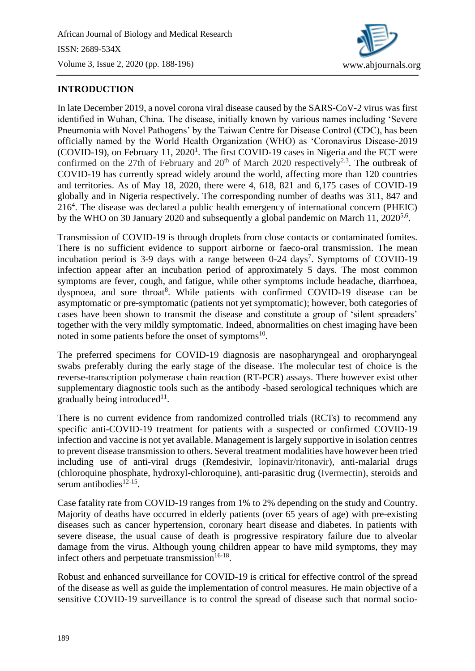

# **INTRODUCTION**

In late December 2019, a novel corona viral disease caused by the SARS-CoV-2 virus was first identified in Wuhan, China. The disease, initially known by various names including 'Severe Pneumonia with Novel Pathogens' by the Taiwan Centre for Disease Control (CDC), has been officially named by the World Health Organization (WHO) as 'Coronavirus Disease-2019  $(COVID-19)$ , on February 11, 2020<sup>1</sup>. The first COVID-19 cases in Nigeria and the FCT were confirmed on the 27th of February and  $20<sup>th</sup>$  of March 2020 respectively<sup>2,3</sup>. The outbreak of COVID-19 has currently spread widely around the world, affecting more than 120 countries and territories. As of May 18, 2020, there were 4, 618, 821 and 6,175 cases of COVID-19 globally and in Nigeria respectively. The corresponding number of deaths was 311, 847 and 216<sup>4</sup> . The disease was declared a public health emergency of international concern (PHEIC) by the WHO on 30 January 2020 and subsequently a global pandemic on March 11, 2020<sup>5,6</sup>.

Transmission of COVID-19 is through droplets from close contacts or contaminated fomites. There is no sufficient evidence to support airborne or faeco-oral transmission. The mean incubation period is 3-9 days with a range between  $0-24$  days<sup>7</sup>. Symptoms of COVID-19 infection appear after an incubation period of approximately 5 days. The most common symptoms are fever, cough, and fatigue, while other symptoms include headache, diarrhoea, dyspnoea, and sore throat<sup>8</sup>. While patients with confirmed COVID-19 disease can be asymptomatic or pre-symptomatic (patients not yet symptomatic); however, both categories of cases have been shown to transmit the disease and constitute a group of 'silent spreaders' together with the very mildly symptomatic. Indeed, abnormalities on chest imaging have been noted in some patients before the onset of symptoms<sup>10</sup>.

The preferred specimens for COVID-19 diagnosis are nasopharyngeal and oropharyngeal swabs preferably during the early stage of the disease. The molecular test of choice is the reverse-transcription polymerase chain reaction (RT-PCR) assays. There however exist other supplementary diagnostic tools such as the antibody -based serological techniques which are gradually being introduced $11$ .

There is no current evidence from randomized controlled trials (RCTs) to recommend any specific anti-COVID-19 treatment for patients with a suspected or confirmed COVID-19 infection and vaccine is not yet available. Management is largely supportive in isolation centres to prevent disease transmission to others. Several treatment modalities have however been tried including use of anti-viral drugs (Remdesivir, lopinavir/ritonavir), anti-malarial drugs (chloroquine phosphate, hydroxyl-chloroquine), anti-parasitic drug (Ivermectin), steroids and serum antibodies $12-15$ .

Case fatality rate from COVID-19 ranges from 1% to 2% depending on the study and Country. Majority of deaths have occurred in elderly patients (over 65 years of age) with pre-existing diseases such as cancer hypertension, coronary heart disease and diabetes. In patients with severe disease, the usual cause of death is progressive respiratory failure due to alveolar damage from the virus. Although young children appear to have mild symptoms, they may infect others and perpetuate transmission $16-18$ .

Robust and enhanced surveillance for COVID-19 is critical for effective control of the spread of the disease as well as guide the implementation of control measures. He main objective of a sensitive COVID-19 surveillance is to control the spread of disease such that normal socio-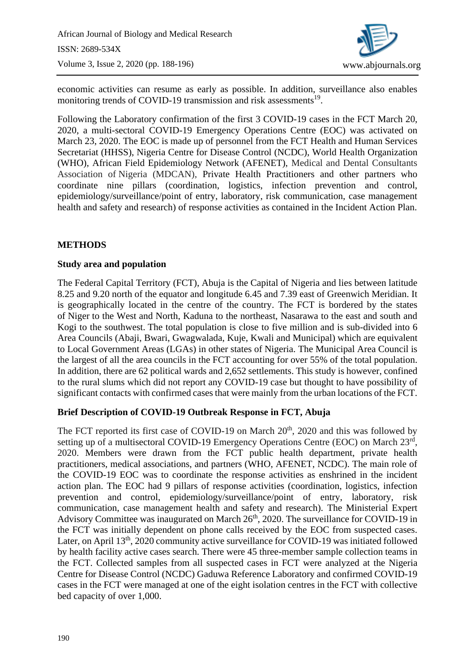

economic activities can resume as early as possible. In addition, surveillance also enables monitoring trends of COVID-19 transmission and risk assessments<sup>19</sup>.

Following the Laboratory confirmation of the first 3 COVID-19 cases in the FCT March 20, 2020, a multi-sectoral COVID-19 Emergency Operations Centre (EOC) was activated on March 23, 2020. The EOC is made up of personnel from the FCT Health and Human Services Secretariat (HHSS), Nigeria Centre for Disease Control (NCDC), World Health Organization (WHO), African Field Epidemiology Network (AFENET), Medical and Dental Consultants Association of Nigeria (MDCAN), Private Health Practitioners and other partners who coordinate nine pillars (coordination, logistics, infection prevention and control, epidemiology/surveillance/point of entry, laboratory, risk communication, case management health and safety and research) of response activities as contained in the Incident Action Plan.

## **METHODS**

## **Study area and population**

The Federal Capital Territory (FCT), Abuja is the Capital of Nigeria and lies between latitude 8.25 and 9.20 north of the equator and longitude 6.45 and 7.39 east of Greenwich Meridian. It is geographically located in the centre of the country. The FCT is bordered by the states of Niger to the West and North, Kaduna to the northeast, Nasarawa to the east and south and Kogi to the southwest. The total population is close to five million and is sub-divided into 6 Area Councils (Abaji, Bwari, Gwagwalada, Kuje, Kwali and Municipal) which are equivalent to Local Government Areas (LGAs) in other states of Nigeria. The Municipal Area Council is the largest of all the area councils in the FCT accounting for over 55% of the total population. In addition, there are 62 political wards and 2,652 settlements. This study is however, confined to the rural slums which did not report any COVID-19 case but thought to have possibility of significant contacts with confirmed cases that were mainly from the urban locations of the FCT.

## **Brief Description of COVID-19 Outbreak Response in FCT, Abuja**

The FCT reported its first case of COVID-19 on March  $20<sup>th</sup>$ , 2020 and this was followed by setting up of a multisectoral COVID-19 Emergency Operations Centre (EOC) on March 23rd, 2020. Members were drawn from the FCT public health department, private health practitioners, medical associations, and partners (WHO, AFENET, NCDC). The main role of the COVID-19 EOC was to coordinate the response activities as enshrined in the incident action plan. The EOC had 9 pillars of response activities (coordination, logistics, infection prevention and control, epidemiology/surveillance/point of entry, laboratory, risk communication, case management health and safety and research). The Ministerial Expert Advisory Committee was inaugurated on March  $26<sup>th</sup>$ , 2020. The surveillance for COVID-19 in the FCT was initially dependent on phone calls received by the EOC from suspected cases. Later, on April 13<sup>th</sup>, 2020 community active surveillance for COVID-19 was initiated followed by health facility active cases search. There were 45 three-member sample collection teams in the FCT. Collected samples from all suspected cases in FCT were analyzed at the Nigeria Centre for Disease Control (NCDC) Gaduwa Reference Laboratory and confirmed COVID-19 cases in the FCT were managed at one of the eight isolation centres in the FCT with collective bed capacity of over 1,000.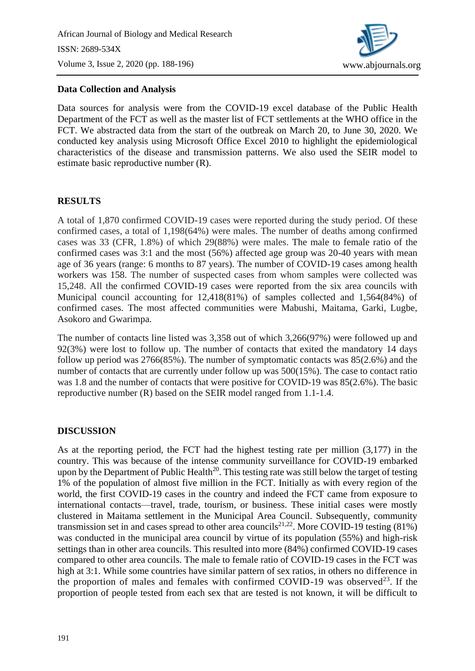

### **Data Collection and Analysis**

Data sources for analysis were from the COVID-19 excel database of the Public Health Department of the FCT as well as the master list of FCT settlements at the WHO office in the FCT. We abstracted data from the start of the outbreak on March 20, to June 30, 2020. We conducted key analysis using Microsoft Office Excel 2010 to highlight the epidemiological characteristics of the disease and transmission patterns. We also used the SEIR model to estimate basic reproductive number (R).

## **RESULTS**

A total of 1,870 confirmed COVID-19 cases were reported during the study period. Of these confirmed cases, a total of 1,198(64%) were males. The number of deaths among confirmed cases was 33 (CFR, 1.8%) of which 29(88%) were males. The male to female ratio of the confirmed cases was 3:1 and the most (56%) affected age group was 20-40 years with mean age of 36 years (range: 6 months to 87 years). The number of COVID-19 cases among health workers was 158. The number of suspected cases from whom samples were collected was 15,248. All the confirmed COVID-19 cases were reported from the six area councils with Municipal council accounting for 12,418(81%) of samples collected and 1,564(84%) of confirmed cases. The most affected communities were Mabushi, Maitama, Garki, Lugbe, Asokoro and Gwarimpa.

The number of contacts line listed was 3,358 out of which 3,266(97%) were followed up and 92(3%) were lost to follow up. The number of contacts that exited the mandatory 14 days follow up period was 2766(85%). The number of symptomatic contacts was 85(2.6%) and the number of contacts that are currently under follow up was 500(15%). The case to contact ratio was 1.8 and the number of contacts that were positive for COVID-19 was 85(2.6%). The basic reproductive number (R) based on the SEIR model ranged from 1.1-1.4.

#### **DISCUSSION**

As at the reporting period, the FCT had the highest testing rate per million (3,177) in the country. This was because of the intense community surveillance for COVID-19 embarked upon by the Department of Public Health<sup>20</sup>. This testing rate was still below the target of testing 1% of the population of almost five million in the FCT. Initially as with every region of the world, the first COVID-19 cases in the country and indeed the FCT came from exposure to international contacts—travel, trade, tourism, or business. These initial cases were mostly clustered in Maitama settlement in the Municipal Area Council. Subsequently, community transmission set in and cases spread to other area councils<sup>21,22</sup>. More COVID-19 testing (81%) was conducted in the municipal area council by virtue of its population (55%) and high-risk settings than in other area councils. This resulted into more (84%) confirmed COVID-19 cases compared to other area councils. The male to female ratio of COVID-19 cases in the FCT was high at 3:1. While some countries have similar pattern of sex ratios, in others no difference in the proportion of males and females with confirmed COVID-19 was observed<sup>23</sup>. If the proportion of people tested from each sex that are tested is not known, it will be difficult to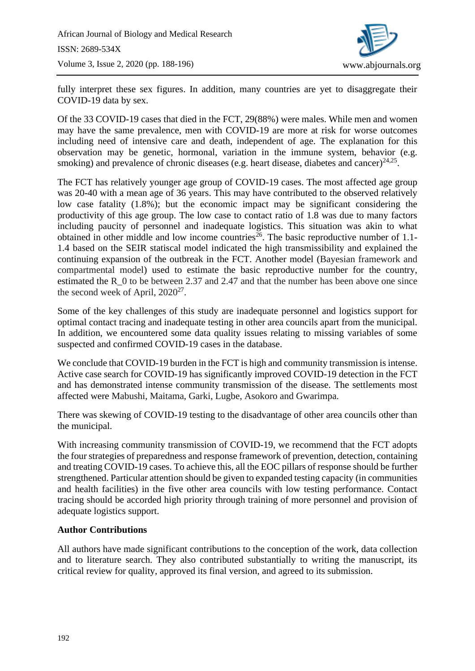

fully interpret these sex figures. In addition, many countries are yet to disaggregate their COVID-19 data by sex.

Of the 33 COVID-19 cases that died in the FCT, 29(88%) were males. While men and women may have the same prevalence, men with COVID-19 are more at risk for worse outcomes including need of intensive care and death, independent of age. The explanation for this observation may be genetic, hormonal, variation in the immune system, behavior (e.g. smoking) and prevalence of chronic diseases (e.g. heart disease, diabetes and cancer) $^{24,25}$ .

The FCT has relatively younger age group of COVID-19 cases. The most affected age group was 20-40 with a mean age of 36 years. This may have contributed to the observed relatively low case fatality (1.8%); but the economic impact may be significant considering the productivity of this age group. The low case to contact ratio of 1.8 was due to many factors including paucity of personnel and inadequate logistics. This situation was akin to what obtained in other middle and low income countries<sup>26</sup>. The basic reproductive number of 1.1-1.4 based on the SEIR statiscal model indicated the high transmissibility and explained the continuing expansion of the outbreak in the FCT. Another model (Bayesian framework and compartmental model) used to estimate the basic reproductive number for the country, estimated the R 0 to be between 2.37 and 2.47 and that the number has been above one since the second week of April,  $2020^{27}$ .

Some of the key challenges of this study are inadequate personnel and logistics support for optimal contact tracing and inadequate testing in other area councils apart from the municipal. In addition, we encountered some data quality issues relating to missing variables of some suspected and confirmed COVID-19 cases in the database.

We conclude that COVID-19 burden in the FCT is high and community transmission is intense. Active case search for COVID-19 has significantly improved COVID-19 detection in the FCT and has demonstrated intense community transmission of the disease. The settlements most affected were Mabushi, Maitama, Garki, Lugbe, Asokoro and Gwarimpa.

There was skewing of COVID-19 testing to the disadvantage of other area councils other than the municipal.

With increasing community transmission of COVID-19, we recommend that the FCT adopts the four strategies of preparedness and response framework of prevention, detection, containing and treating COVID-19 cases. To achieve this, all the EOC pillars of response should be further strengthened. Particular attention should be given to expanded testing capacity (in communities and health facilities) in the five other area councils with low testing performance. Contact tracing should be accorded high priority through training of more personnel and provision of adequate logistics support.

## **Author Contributions**

All authors have made significant contributions to the conception of the work, data collection and to literature search. They also contributed substantially to writing the manuscript, its critical review for quality, approved its final version, and agreed to its submission.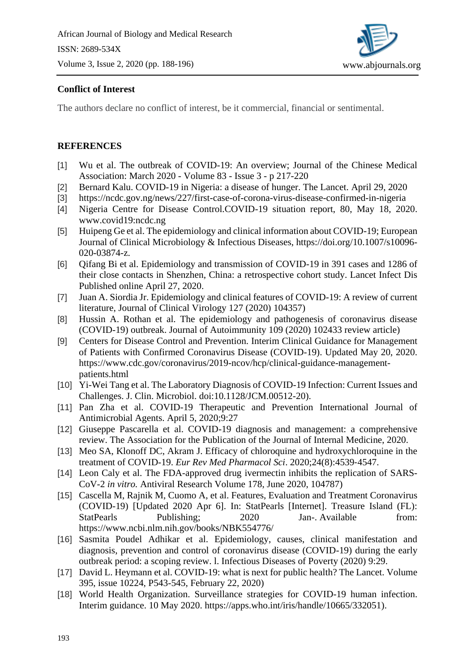

# **Conflict of Interest**

The authors declare no conflict of interest, be it commercial, financial or sentimental.

## **REFERENCES**

- [1] Wu et al. The outbreak of COVID-19: An overview; Journal of the Chinese Medical Association: [March 2020 -](https://journals.lww.com/jcma/toc/2020/03000) Volume 83 - Issue 3 - p 217-220
- [2] Bernard Kalu. COVID-19 in Nigeria: a disease of hunger. The Lancet. April 29, 2020
- [3] <https://ncdc.gov.ng/news/227/first-case-of-corona-virus-disease-confirmed-in-nigeria>
- [4] Nigeria Centre for Disease Control.COVID-19 situation report, 80, May 18, 2020. www.covid19:ncdc.ng
- [5] Huipeng Ge et al. The epidemiology and clinical information about COVID-19; European Journal of Clinical Microbiology & Infectious Diseases, [https://doi.org/10.1007/s10096-](https://doi.org/10.1007/s10096-020-03874-z) [020-03874-z.](https://doi.org/10.1007/s10096-020-03874-z)
- [6] Qifang Bi et al. Epidemiology and transmission of COVID-19 in 391 cases and 1286 of their close contacts in Shenzhen, China: a retrospective cohort study. Lancet Infect Dis Published online April 27, 2020.
- [7] Juan A. Siordia Jr. Epidemiology and clinical features of COVID-19: A review of current literature, Journal of Clinical Virology 127 (2020) 104357)
- [8] Hussin A. Rothan et al. The epidemiology and pathogenesis of coronavirus disease (COVID-19) outbreak. Journal of Autoimmunity 109 (2020) 102433 review article)
- [9] Centers for Disease Control and Prevention. Interim Clinical Guidance for Management of Patients with Confirmed Coronavirus Disease (COVID-19). Updated May 20, 2020. [https://www.cdc.gov/coronavirus/2019-ncov/hcp/clinical-guidance-management](https://www.cdc.gov/coronavirus/2019-ncov/hcp/clinical-guidance-management-patients.html)[patients.html](https://www.cdc.gov/coronavirus/2019-ncov/hcp/clinical-guidance-management-patients.html)
- [10] Yi-Wei Tang et al. The Laboratory Diagnosis of COVID-19 Infection: Current Issues and Challenges. J. Clin. Microbiol. doi:10.1128/JCM.00512-20).
- [11] Pan Zha et al. COVID-19 Therapeutic and Prevention International Journal of Antimicrobial Agents. April 5, 2020;9:27
- [12] Giuseppe Pascarella et al. COVID-19 diagnosis and management: a comprehensive review. The Association for the Publication of the Journal of Internal Medicine, 2020.
- [13] Meo SA, Klonoff DC, Akram J. Efficacy of chloroquine and hydroxychloroquine in the treatment of COVID-19. *Eur Rev Med Pharmacol Sci*. 2020;24(8):4539‐4547.
- [14] Leon Caly et al. The FDA-approved drug ivermectin inhibits the replication of SARS-CoV-2 *in vitro.* [Antiviral Research](https://www.sciencedirect.com/science/journal/01663542) [Volume 178,](https://www.sciencedirect.com/science/journal/01663542/178/supp/C) June 2020, 104787)
- [15] Cascella M, Rajnik M, Cuomo A, et al. Features, Evaluation and Treatment Coronavirus (COVID-19) [Updated 2020 Apr 6]. In: StatPearls [Internet]. Treasure Island (FL): StatPearls Publishing; 2020 Jan-. Available from: https://www.ncbi.nlm.nih.gov/books/NBK554776/
- [16] Sasmita Poudel Adhikar et al. Epidemiology, causes, clinical manifestation and diagnosis, prevention and control of coronavirus disease (COVID-19) during the early outbreak period: a scoping review. l. Infectious Diseases of Poverty (2020) 9:29.
- [17] David L. Heymann et al. COVID-19: what is next for public health? The Lancet. Volume 395, issue 10224, P543-545, February 22, 2020)
- [18] World Health Organization. Surveillance strategies for COVID-19 human infection. Interim guidance. 10 May 2020. [https://apps.who.int/iris/handle/10665/332051\)](https://apps.who.int/iris/handle/10665/332051).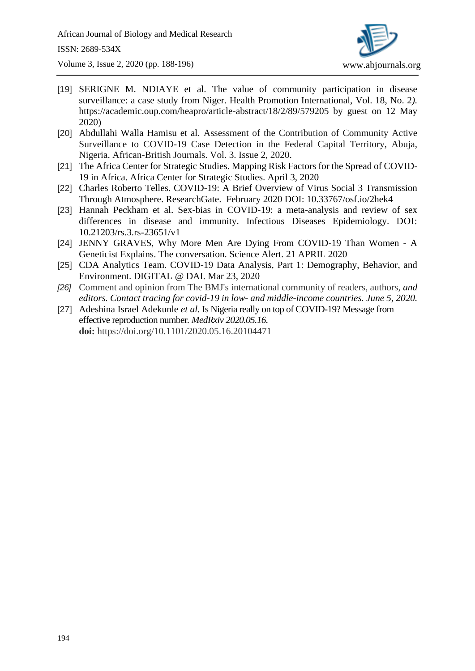

- [19] SERIGNE M. NDIAYE et al. The value of community participation in disease surveillance: a case study from Niger. Health Promotion International, Vol. 18, No. 2*).* https://academic.oup.com/heapro/article-abstract/18/2/89/579205 by guest on 12 May 2020)
- [20] Abdullahi Walla Hamisu et al. Assessment of the Contribution of Community Active Surveillance to COVID-19 Case Detection in the Federal Capital Territory, Abuja, Nigeria. African-British Journals. Vol. 3. Issue 2, 2020.
- [21] The Africa Center for Strategic Studies. Mapping Risk Factors for the Spread of COVID-19 in Africa. Africa Center for Strategic Studies. April 3, 2020
- [22] Charles Roberto Telles. COVID-19: A Brief Overview of Virus Social 3 Transmission Through Atmosphere. ResearchGate. February 2020 DOI: 10.33767/osf.io/2hek4
- [23] Hannah Peckham et al. Sex-bias in COVID-19: a meta-analysis and review of sex differences in disease and immunity. Infectious Diseases Epidemiology. DOI: [10.21203/rs.3.rs-23651/v1](https://dx.doi.org/10.21203/rs.3.rs-23651/v1)
- [24] JENNY GRAVES, Why More Men Are Dying From COVID-19 Than Women A Geneticist Explains. The conversation. Science Alert. 21 APRIL 2020
- [25] CDA Analytics Team. COVID-19 Data Analysis, Part 1: Demography, Behavior, and Environment. DIGITAL @ DAI. Mar 23, 2020
- *[26]* Comment and opinion from The BMJ's international community of readers, authors, *and editors. Contact tracing for covid-19 in low- and middle-income countries. June 5, 2020.*
- [27] Adeshina Israel Adekunle *et al.* Is Nigeria really on top of COVID-19? Message from effective reproduction number*. MedRxiv 2020.05.16.*  **doi:** https://doi.org/10.1101/2020.05.16.20104471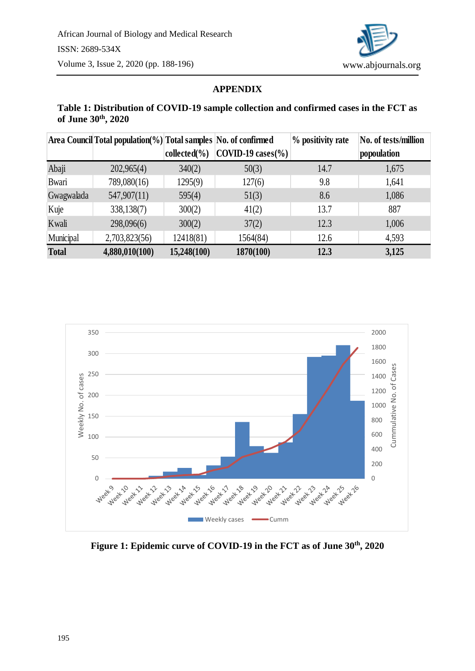

#### **APPENDIX**

### **Table 1: Distribution of COVID-19 sample collection and confirmed cases in the FCT as of June 30th , 2020**

|              | Area Council Total population(%) Total samples No. of confirmed |                |                                        | % positivity rate | No. of tests/million |
|--------------|-----------------------------------------------------------------|----------------|----------------------------------------|-------------------|----------------------|
|              |                                                                 | $collected\%)$ | $\text{COVID-19 cases}$ <sup>(%)</sup> |                   | popoulation          |
| Abaji        | 202,965(4)                                                      | 340(2)         | 50(3)                                  | 14.7              | 1,675                |
| Bwari        | 789,080(16)                                                     | 1295(9)        | 127(6)                                 | 9.8               | 1,641                |
| Gwagwalada   | 547,907(11)                                                     | 595(4)         | 51(3)                                  | 8.6               | 1,086                |
| Kuje         | 338,138(7)                                                      | 300(2)         | 41(2)                                  | 13.7              | 887                  |
| Kwali        | 298,096(6)                                                      | 300(2)         | 37(2)                                  | 12.3              | 1,006                |
| Municipal    | 2,703,823(56)                                                   | 12418(81)      | 1564(84)                               | 12.6              | 4,593                |
| <b>Total</b> | 4,880,010(100)                                                  | 15,248(100)    | 1870(100)                              | 12.3              | 3,125                |



**Figure 1: Epidemic curve of COVID-19 in the FCT as of June 30th, 2020**